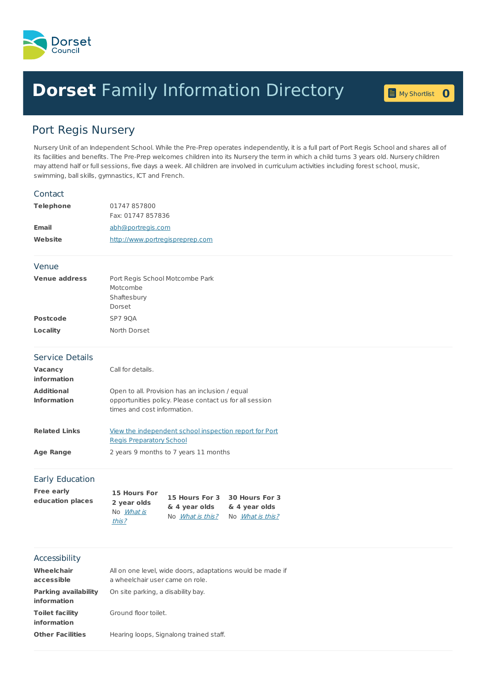

## **Dorset** Family [Information](home.page) Directory **0**

My [Shortlist](shortlist.page)

## Port Regis Nursery

Nursery Unit of an Independent School. While the Pre-Prep operates independently, it is a full part of Port Regis School and shares all of its facilities and benefits. The Pre-Prep welcomes children into its Nursery the term in which a child turns 3 years old. Nursery children may attend half or full sessions, five days a week. All children are involved in curriculum activities including forest school, music, swimming, ball skills, gymnastics, ICT and French.

| Contact                                    |                                                                                                                                           |                         |                               |  |  |  |
|--------------------------------------------|-------------------------------------------------------------------------------------------------------------------------------------------|-------------------------|-------------------------------|--|--|--|
| <b>Telephone</b>                           | 01747 857800<br>Fax: 01747 857836<br>abh@portregis.com<br>http://www.portregispreprep.com                                                 |                         |                               |  |  |  |
|                                            |                                                                                                                                           |                         |                               |  |  |  |
| <b>Email</b>                               |                                                                                                                                           |                         |                               |  |  |  |
| Website                                    |                                                                                                                                           |                         |                               |  |  |  |
| Venue                                      |                                                                                                                                           |                         |                               |  |  |  |
| <b>Venue address</b>                       | Port Regis School Motcombe Park<br>Motcombe<br>Shaftesbury<br>Dorset                                                                      |                         |                               |  |  |  |
| <b>Postcode</b>                            | SP7 9QA                                                                                                                                   |                         |                               |  |  |  |
| Locality                                   | North Dorset                                                                                                                              |                         |                               |  |  |  |
| <b>Service Details</b>                     |                                                                                                                                           |                         |                               |  |  |  |
| Vacancy<br>information                     | Call for details.                                                                                                                         |                         |                               |  |  |  |
| <b>Additional</b><br><b>Information</b>    | Open to all. Provision has an inclusion / equal<br>opportunities policy. Please contact us for all session<br>times and cost information. |                         |                               |  |  |  |
| <b>Related Links</b>                       | View the independent school inspection report for Port<br><b>Regis Preparatory School</b>                                                 |                         |                               |  |  |  |
| <b>Age Range</b>                           | 2 years 9 months to 7 years 11 months                                                                                                     |                         |                               |  |  |  |
| Early Education                            |                                                                                                                                           |                         |                               |  |  |  |
| <b>Free early</b>                          | 15 Hours For                                                                                                                              |                         | 15 Hours For 3 30 Hours For 3 |  |  |  |
| education places                           | 2 year olds                                                                                                                               | & 4 year olds           | & 4 year olds                 |  |  |  |
|                                            | No What is<br>this?                                                                                                                       | No <i>What is this?</i> | No <i>What is this?</i>       |  |  |  |
| Accessibility                              |                                                                                                                                           |                         |                               |  |  |  |
| <b>Wheelchair</b><br>accessible            | All on one level, wide doors, adaptations would be made if<br>a wheelchair user came on role.                                             |                         |                               |  |  |  |
| <b>Parking availability</b><br>information | On site parking, a disability bay.                                                                                                        |                         |                               |  |  |  |
| <b>Toilet facility</b><br>information      | Ground floor toilet.                                                                                                                      |                         |                               |  |  |  |
| <b>Other Facilities</b>                    | Hearing loops, Signalong trained staff.                                                                                                   |                         |                               |  |  |  |